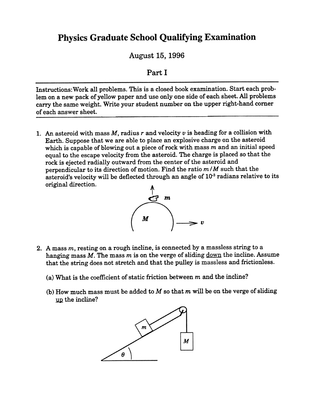## **Physics Graduate School Qualifying Examination**

August 15, 1996

## Part I

Instructions: Work all problems. This is a closed book examination. Start each problem on a new pack of yellow paper and use only one side of each sheet. All problems carry the same weight. Write your student number on the upper right-hand comer of each answer sheet.

1. An asteroid with mass  $M$ , radius r and velocity  $v$  is heading for a collision with Earth. Suppose that we are able to place an explosive charge on the asteroid which is capable of blowing out a piece of rock with mass  $m$  and an initial speed equal to the escape velocity from the asteroid. The charge is placed so that the rock is ejected radially outward from the center of the asteroid and perpendicular to its direction of motion. Find the ratio  $m/M$  such that the asteroid's velocity will be deflected through an angle of  $10^{-3}$  radians relative to its original direction.



- 2. A mass  $m$ , resting on a rough incline, is connected by a massless string to a hanging mass  $M$ . The mass  $m$  is on the verge of sliding  $down$  the incline. Assume</u> that the string does not stretch and that the pulley is massless and frictionless.
	- (a) What is the coefficient of static friction between  $m$  and the incline?
	- (b) How much mass must be added to  $M$  so that  $m$  will be on the verge of sliding up the incline?

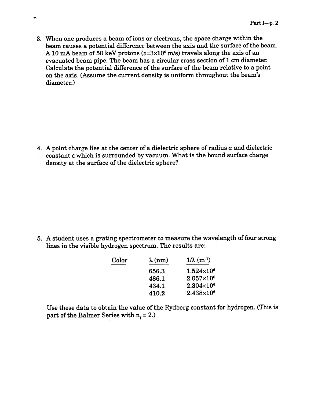3. When one produces a beam of ions or electrons, the space charge within the beam causes a potential difference between the axis and the surface of the beam. A 10 mA beam of 50 keV protons ( $v=3\times10^6$  m/s) travels along the axis of an evacuated beam pipe. The beam has a circular cross section of 1 cm diameter. Calculate the potential difference of the surface of the beam relative to a point on the axis. (Assume the current density is uniform throughout the beam's diameter.)

4. A point charge lies at the center of a dielectric sphere of radius  $a$  and dielectric constant  $\varepsilon$  which is surrounded by vacuum. What is the bound surface charge density at the surface of the dielectric sphere?

5. A student uses a grating spectrometer to measure the wavelength of four strong lines in the visible hydrogen spectrum. The results are:

| $\lambda$ (nm) | $1/\lambda$ (m <sup>-1</sup> ) |
|----------------|--------------------------------|
| 656.3          | $1.524\times10^{6}$            |
| 486.1          | $2.057\times10^{6}$            |
| 434.1          | $2.304\times10^{6}$            |
| 410.2          | $2.438\times10^{6}$            |
|                |                                |

Use these data to obtain the value of the Rydberg constant for hydrogen. (This is part of the Balmer Series with  $n_f = 2$ .)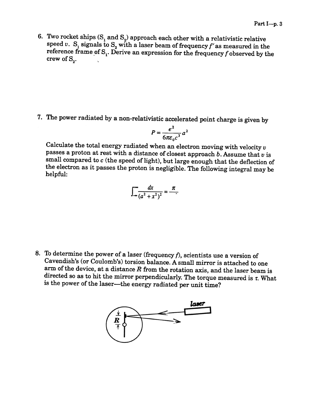6. Two rocket ships  $(S_1 \text{ and } S_2)$  approach each other with a relativistic relative speed v.  $S_1$  signals to  $S_2$  with a laser beam of frequency f' as measured in the reference frame of  $S_1$ . Derive an expression for the frequency f observed by the crew of  $S_{\alpha}$ .

7. The power radiated by a non-relativistic accelerated point charge is given by

$$
P=\frac{e^2}{6\pi\varepsilon_0c^3}a^2
$$

Calculate the total energy radiated when an electron moving with velocity  $v$ passes a proton at rest with a distance of closest approach  $b$ . Assume that  $v$  is small compared to  $c$  (the speed of light), but large enough that the deflection of the electron as it passes the proton is negligible. The following integral may be helpful:

$$
\int_{-\infty}^{\infty} \frac{dx}{(a^2+x^2)^2} = \frac{\pi}{a^2}
$$

8. To determine the power of a laser (frequency  $f$ ), scientists use a version of Cavendish's (or Coulomb's) torsion balance. A small mirror is attached to one arm of the device, at a distance  $R$  from the rotation axis, and the laser beam is directed so as to hit the mirror perpendicularly. The torque measured is  $\tau$ . What is the power of the laser-the energy radiated per unit time?

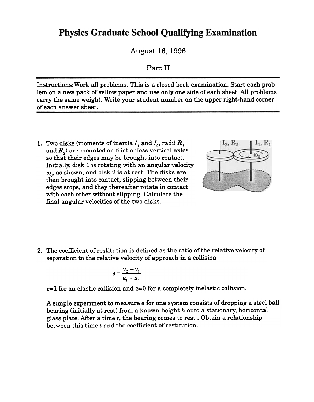## **Physics Graduate School Qualifying Examination**

August 16, 1996

## Part II

Instructions: Work all problems. This is a closed book examination. Start each problem on a new pack of yellow paper and use only one side of each sheet. All problems carry the same weight. Write your student number on the upper right-hand comer of each answer sheet.

1. Two disks (moments of inertia  $I$ , and  $I<sub>2</sub>$ , radii  $R$ , and  $R<sub>2</sub>$ ) are mounted on frictionless vertical axles so that their edges may be brought into contact. Initially, disk 1 is rotating with an angular velocity  $\omega_o$ , as shown, and disk 2 is at rest. The disks are then brought into contact, slipping between their edges stops, and they thereafter rotate in contact with each other without slipping. Calculate the final angular velocities of the two disks.



2. The coefficient of restitution is defined as the ratio of the relative velocity of separation to the relative velocity of approach in a collision

$$
e=\frac{v_2-v_1}{u_1-u_2}
$$

e=l for an elastic collision and e=O for a completely inelastic collision.

A simple experiment to measure e for one system consists of dropping a steel ball bearing (initially at rest) from a known height  $h$  onto a stationary, horizontal glass plate. After a time  $t$ , the bearing comes to rest. Obtain a relationship between this time t and the coefficient of restitution.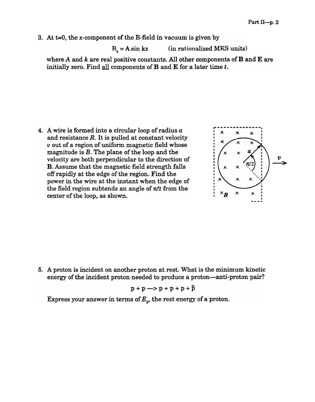3. At  $t=0$ , the x-component of the B-field in vacuum is given by

(in rationalized MKS units)  $B<sub>z</sub> = A sin kz$ 

where  $A$  and  $k$  are real positive constants. All other components of  $B$  and  $E$  are initially zero. Find  $\frac{all}{all}$  components of **B** and **E** for a later time t.

4. A wire is formed into a circular loop of radius  $a$ and resistance  $R$ . It is pulled at constant velocity v out of a region of uniform magnetic field whose magnitude is B. The plane of the loop and the velocity are both perpendicular to the direction of B. Assume that the magnetic field strength falls off rapidly at the edge of the region. Find the power in the wire at the instant when the edge of the field region subtends an angle of  $\pi/2$  from the center of the loop, as shown.



5. A proton is incident on another proton at rest. What is the minimum kinetic energy of the incident proton needed to produce a proton—anti-proton pair?

$$
p + p \longrightarrow p + p + p + \bar{p}
$$

Express your answer in terms of  $E_o$ , the rest energy of a proton.